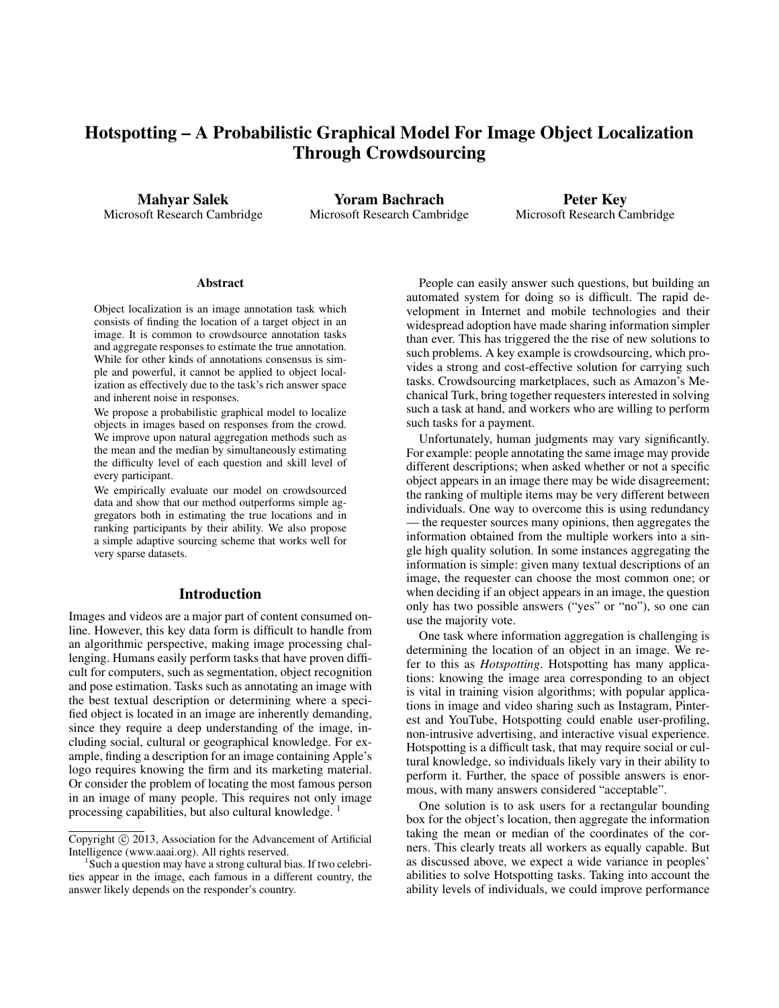# Hotspotting – A Probabilistic Graphical Model For Image Object Localization Through Crowdsourcing

Mahyar Salek Microsoft Research Cambridge

Yoram Bachrach Microsoft Research Cambridge

Peter Key Microsoft Research Cambridge

#### **Abstract**

Object localization is an image annotation task which consists of finding the location of a target object in an image. It is common to crowdsource annotation tasks and aggregate responses to estimate the true annotation. While for other kinds of annotations consensus is simple and powerful, it cannot be applied to object localization as effectively due to the task's rich answer space and inherent noise in responses.

We propose a probabilistic graphical model to localize objects in images based on responses from the crowd. We improve upon natural aggregation methods such as the mean and the median by simultaneously estimating the difficulty level of each question and skill level of every participant.

We empirically evaluate our model on crowdsourced data and show that our method outperforms simple aggregators both in estimating the true locations and in ranking participants by their ability. We also propose a simple adaptive sourcing scheme that works well for very sparse datasets.

#### Introduction

Images and videos are a major part of content consumed online. However, this key data form is difficult to handle from an algorithmic perspective, making image processing challenging. Humans easily perform tasks that have proven difficult for computers, such as segmentation, object recognition and pose estimation. Tasks such as annotating an image with the best textual description or determining where a specified object is located in an image are inherently demanding, since they require a deep understanding of the image, including social, cultural or geographical knowledge. For example, finding a description for an image containing Apple's logo requires knowing the firm and its marketing material. Or consider the problem of locating the most famous person in an image of many people. This requires not only image processing capabilities, but also cultural knowledge.<sup>1</sup>

People can easily answer such questions, but building an automated system for doing so is difficult. The rapid development in Internet and mobile technologies and their widespread adoption have made sharing information simpler than ever. This has triggered the the rise of new solutions to such problems. A key example is crowdsourcing, which provides a strong and cost-effective solution for carrying such tasks. Crowdsourcing marketplaces, such as Amazon's Mechanical Turk, bring together requesters interested in solving such a task at hand, and workers who are willing to perform such tasks for a payment.

Unfortunately, human judgments may vary significantly. For example: people annotating the same image may provide different descriptions; when asked whether or not a specific object appears in an image there may be wide disagreement; the ranking of multiple items may be very different between individuals. One way to overcome this is using redundancy — the requester sources many opinions, then aggregates the information obtained from the multiple workers into a single high quality solution. In some instances aggregating the information is simple: given many textual descriptions of an image, the requester can choose the most common one; or when deciding if an object appears in an image, the question only has two possible answers ("yes" or "no"), so one can use the majority vote.

One task where information aggregation is challenging is determining the location of an object in an image. We refer to this as *Hotspotting*. Hotspotting has many applications: knowing the image area corresponding to an object is vital in training vision algorithms; with popular applications in image and video sharing such as Instagram, Pinterest and YouTube, Hotspotting could enable user-profiling, non-intrusive advertising, and interactive visual experience. Hotspotting is a difficult task, that may require social or cultural knowledge, so individuals likely vary in their ability to perform it. Further, the space of possible answers is enormous, with many answers considered "acceptable".

One solution is to ask users for a rectangular bounding box for the object's location, then aggregate the information taking the mean or median of the coordinates of the corners. This clearly treats all workers as equally capable. But as discussed above, we expect a wide variance in peoples' abilities to solve Hotspotting tasks. Taking into account the ability levels of individuals, we could improve performance

Copyright © 2013, Association for the Advancement of Artificial Intelligence (www.aaai.org). All rights reserved.

<sup>1</sup> Such a question may have a strong cultural bias. If two celebrities appear in the image, each famous in a different country, the answer likely depends on the responder's country.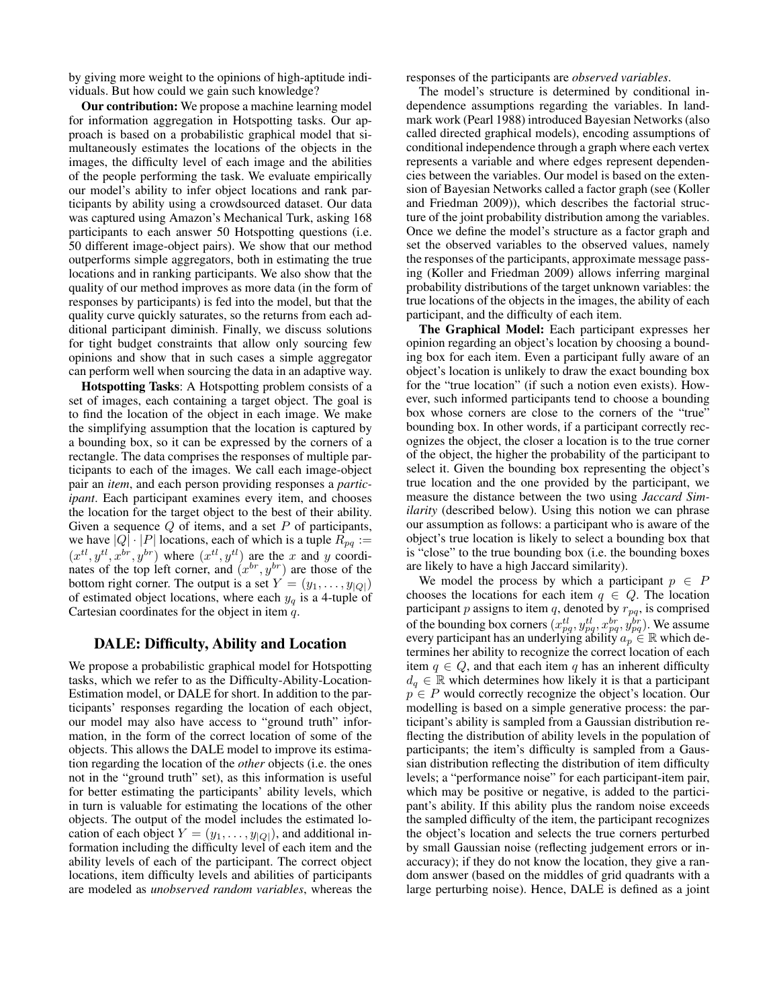by giving more weight to the opinions of high-aptitude individuals. But how could we gain such knowledge?

Our contribution: We propose a machine learning model for information aggregation in Hotspotting tasks. Our approach is based on a probabilistic graphical model that simultaneously estimates the locations of the objects in the images, the difficulty level of each image and the abilities of the people performing the task. We evaluate empirically our model's ability to infer object locations and rank participants by ability using a crowdsourced dataset. Our data was captured using Amazon's Mechanical Turk, asking 168 participants to each answer 50 Hotspotting questions (i.e. 50 different image-object pairs). We show that our method outperforms simple aggregators, both in estimating the true locations and in ranking participants. We also show that the quality of our method improves as more data (in the form of responses by participants) is fed into the model, but that the quality curve quickly saturates, so the returns from each additional participant diminish. Finally, we discuss solutions for tight budget constraints that allow only sourcing few opinions and show that in such cases a simple aggregator can perform well when sourcing the data in an adaptive way.

Hotspotting Tasks: A Hotspotting problem consists of a set of images, each containing a target object. The goal is to find the location of the object in each image. We make the simplifying assumption that the location is captured by a bounding box, so it can be expressed by the corners of a rectangle. The data comprises the responses of multiple participants to each of the images. We call each image-object pair an *item*, and each person providing responses a *participant*. Each participant examines every item, and chooses the location for the target object to the best of their ability. Given a sequence  $Q$  of items, and a set  $P$  of participants, we have  $|Q| \cdot |P|$  locations, each of which is a tuple  $R_{pq} :=$  $(x^{tl}, y^{tl}, x^{br}, y^{br})$  where  $(x^{tl}, y^{tl})$  are the x and y coordinates of the top left corner, and  $(x^{br}, y^{br})$  are those of the bottom right corner. The output is a set  $Y = (y_1, \dots, y_{|Q|})$ of estimated object locations, where each  $y_q$  is a 4-tuple of Cartesian coordinates for the object in item  $q$ .

## DALE: Difficulty, Ability and Location

We propose a probabilistic graphical model for Hotspotting tasks, which we refer to as the Difficulty-Ability-Location-Estimation model, or DALE for short. In addition to the participants' responses regarding the location of each object, our model may also have access to "ground truth" information, in the form of the correct location of some of the objects. This allows the DALE model to improve its estimation regarding the location of the *other* objects (i.e. the ones not in the "ground truth" set), as this information is useful for better estimating the participants' ability levels, which in turn is valuable for estimating the locations of the other objects. The output of the model includes the estimated location of each object  $Y = (y_1, \ldots, y_{|Q|})$ , and additional information including the difficulty level of each item and the ability levels of each of the participant. The correct object locations, item difficulty levels and abilities of participants are modeled as *unobserved random variables*, whereas the responses of the participants are *observed variables*.

The model's structure is determined by conditional independence assumptions regarding the variables. In landmark work (Pearl 1988) introduced Bayesian Networks (also called directed graphical models), encoding assumptions of conditional independence through a graph where each vertex represents a variable and where edges represent dependencies between the variables. Our model is based on the extension of Bayesian Networks called a factor graph (see (Koller and Friedman 2009)), which describes the factorial structure of the joint probability distribution among the variables. Once we define the model's structure as a factor graph and set the observed variables to the observed values, namely the responses of the participants, approximate message passing (Koller and Friedman 2009) allows inferring marginal probability distributions of the target unknown variables: the true locations of the objects in the images, the ability of each participant, and the difficulty of each item.

The Graphical Model: Each participant expresses her opinion regarding an object's location by choosing a bounding box for each item. Even a participant fully aware of an object's location is unlikely to draw the exact bounding box for the "true location" (if such a notion even exists). However, such informed participants tend to choose a bounding box whose corners are close to the corners of the "true" bounding box. In other words, if a participant correctly recognizes the object, the closer a location is to the true corner of the object, the higher the probability of the participant to select it. Given the bounding box representing the object's true location and the one provided by the participant, we measure the distance between the two using *Jaccard Similarity* (described below). Using this notion we can phrase our assumption as follows: a participant who is aware of the object's true location is likely to select a bounding box that is "close" to the true bounding box (i.e. the bounding boxes are likely to have a high Jaccard similarity).

We model the process by which a participant  $p \in P$ chooses the locations for each item  $q \in Q$ . The location participant p assigns to item q, denoted by  $r_{pq}$ , is comprised of the bounding box corners  $(x_{pq}^{tl}, y_{pq}^{tl}, x_{pq}^{br}, y_{pq}^{br})$ . We assume every participant has an underlying ability  $a_p \in \mathbb{R}$  which determines her ability to recognize the correct location of each item  $q \in Q$ , and that each item q has an inherent difficulty  $d_q \in \mathbb{R}$  which determines how likely it is that a participant  $p \in P$  would correctly recognize the object's location. Our modelling is based on a simple generative process: the participant's ability is sampled from a Gaussian distribution reflecting the distribution of ability levels in the population of participants; the item's difficulty is sampled from a Gaussian distribution reflecting the distribution of item difficulty levels; a "performance noise" for each participant-item pair, which may be positive or negative, is added to the participant's ability. If this ability plus the random noise exceeds the sampled difficulty of the item, the participant recognizes the object's location and selects the true corners perturbed by small Gaussian noise (reflecting judgement errors or inaccuracy); if they do not know the location, they give a random answer (based on the middles of grid quadrants with a large perturbing noise). Hence, DALE is defined as a joint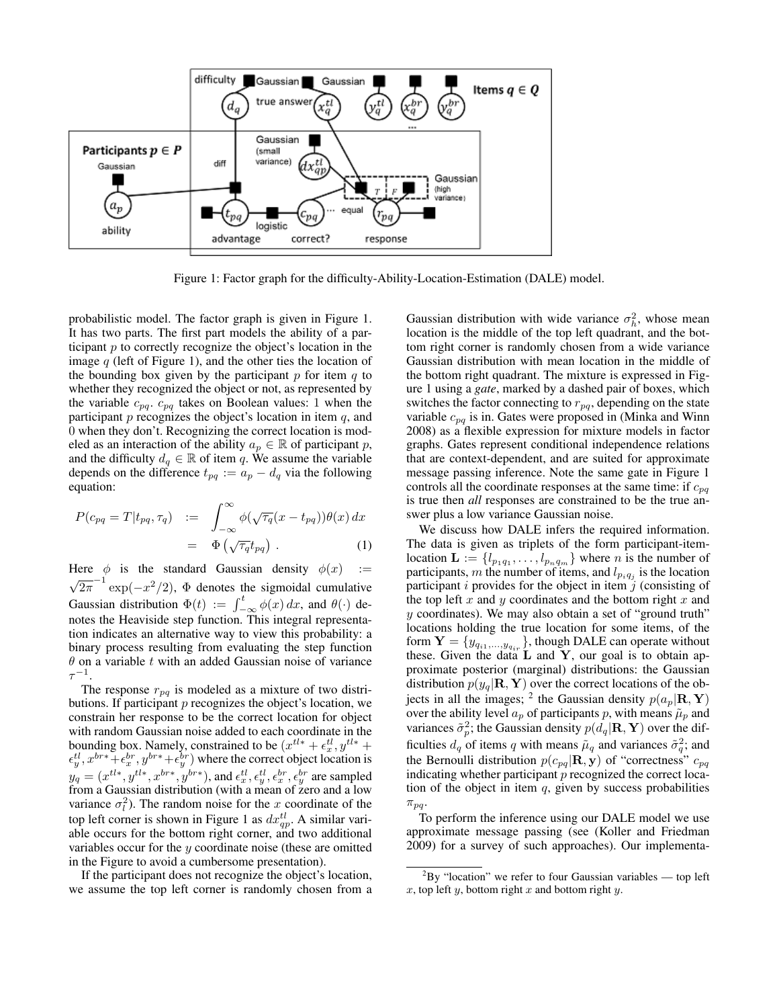

Figure 1: Factor graph for the difficulty-Ability-Location-Estimation (DALE) model.

probabilistic model. The factor graph is given in Figure 1. It has two parts. The first part models the ability of a participant  $p$  to correctly recognize the object's location in the image  $q$  (left of Figure 1), and the other ties the location of the bounding box given by the participant  $p$  for item  $q$  to whether they recognized the object or not, as represented by the variable  $c_{pq}$ .  $c_{pq}$  takes on Boolean values: 1 when the participant  $p$  recognizes the object's location in item  $q$ , and 0 when they don't. Recognizing the correct location is modeled as an interaction of the ability  $a_p \in \mathbb{R}$  of participant p, and the difficulty  $d_q \in \mathbb{R}$  of item q. We assume the variable depends on the difference  $t_{pq} := a_p - d_q$  via the following equation:

$$
P(c_{pq} = T | t_{pq}, \tau_q) := \int_{-\infty}^{\infty} \phi(\sqrt{\tau_q}(x - t_{pq})) \theta(x) dx
$$

$$
= \Phi(\sqrt{\tau_q} t_{pq}). \tag{1}
$$

Here  $\phi$  is the standard Gaussian density  $\phi(x)$  := √  $\overline{2\pi}^{-1}$  exp $(-x^2/2)$ ,  $\Phi$  denotes the sigmoidal cumulative Gaussian distribution  $\Phi(t) := \int_{-\infty}^{t} \phi(x) dx$ , and  $\theta(\cdot)$  denotes the Heaviside step function. This integral representation indicates an alternative way to view this probability: a binary process resulting from evaluating the step function  $\theta$  on a variable t with an added Gaussian noise of variance  $\tau^{-1}.$ 

The response  $r_{pq}$  is modeled as a mixture of two distributions. If participant  $p$  recognizes the object's location, we constrain her response to be the correct location for object with random Gaussian noise added to each coordinate in the bounding box. Namely, constrained to be  $(x^{tl*} + \epsilon_x^{tl}, y^{tl*} + \epsilon_y^{tl})$  $\epsilon_y^{tl}, x^{br*} + \epsilon_x^{br}, y^{br*} + \epsilon_y^{br}$  where the correct object location is  $y_q = (x^{tl*}, y^{tl*}, x^{br*}, y^{br*}),$  and  $\epsilon_x^{tl}, \epsilon_y^{tl}, \epsilon_y^{br}, \epsilon_y^{br}, \epsilon_y^{br}$  are sampled from a Gaussian distribution (with a mean of zero and a low variance  $\sigma_l^2$ ). The random noise for the x coordinate of the top left corner is shown in Figure 1 as  $dx_{qp}^{tl}$ . A similar variable occurs for the bottom right corner, and two additional variables occur for the  $y$  coordinate noise (these are omitted in the Figure to avoid a cumbersome presentation).

If the participant does not recognize the object's location, we assume the top left corner is randomly chosen from a

Gaussian distribution with wide variance  $\sigma_h^2$ , whose mean location is the middle of the top left quadrant, and the bottom right corner is randomly chosen from a wide variance Gaussian distribution with mean location in the middle of the bottom right quadrant. The mixture is expressed in Figure 1 using a *gate*, marked by a dashed pair of boxes, which switches the factor connecting to  $r_{pq}$ , depending on the state variable  $c_{pq}$  is in. Gates were proposed in (Minka and Winn 2008) as a flexible expression for mixture models in factor graphs. Gates represent conditional independence relations that are context-dependent, and are suited for approximate message passing inference. Note the same gate in Figure 1 controls all the coordinate responses at the same time: if  $c_{pq}$ is true then *all* responses are constrained to be the true answer plus a low variance Gaussian noise.

We discuss how DALE infers the required information. The data is given as triplets of the form participant-itemlocation  $\mathbf{L} := \{l_{p_1q_1}, \ldots, l_{p_nq_m}\}\$  where *n* is the number of participants, m the number of items, and  $l_{p_i q_j}$  is the location participant  $i$  provides for the object in item  $j$  (consisting of the top left  $x$  and  $y$  coordinates and the bottom right  $x$  and y coordinates). We may also obtain a set of "ground truth" locations holding the true location for some items, of the form  $\mathbf{Y} = \{y_{q_{i1},...,y_{q_{ir}}}\}$ , though DALE can operate without these. Given the data  $L$  and  $Y$ , our goal is to obtain approximate posterior (marginal) distributions: the Gaussian distribution  $p(y_q|\mathbf{R}, \mathbf{Y})$  over the correct locations of the objects in all the images; <sup>2</sup> the Gaussian density  $p(a_p|\mathbf{R}, \mathbf{Y})$ over the ability level  $a_p$  of participants p, with means  $\tilde{\mu}_p$  and variances  $\tilde{\sigma}_p^2$ ; the Gaussian density  $p(d_q|\mathbf{R}, \mathbf{Y})$  over the difficulties  $d_q$  of items q with means  $\tilde{\mu}_q$  and variances  $\tilde{\sigma}_q^2$ ; and the Bernoulli distribution  $p(c_{pq}|\mathbf{R}, \mathbf{y})$  of "correctness"  $c_{pq}$ indicating whether participant  $p$  recognized the correct location of the object in item  $q$ , given by success probabilities  $\pi_{pq}$ .

To perform the inference using our DALE model we use approximate message passing (see (Koller and Friedman 2009) for a survey of such approaches). Our implementa-

 ${}^{2}$ By "location" we refer to four Gaussian variables — top left  $x$ , top left  $y$ , bottom right  $x$  and bottom right  $y$ .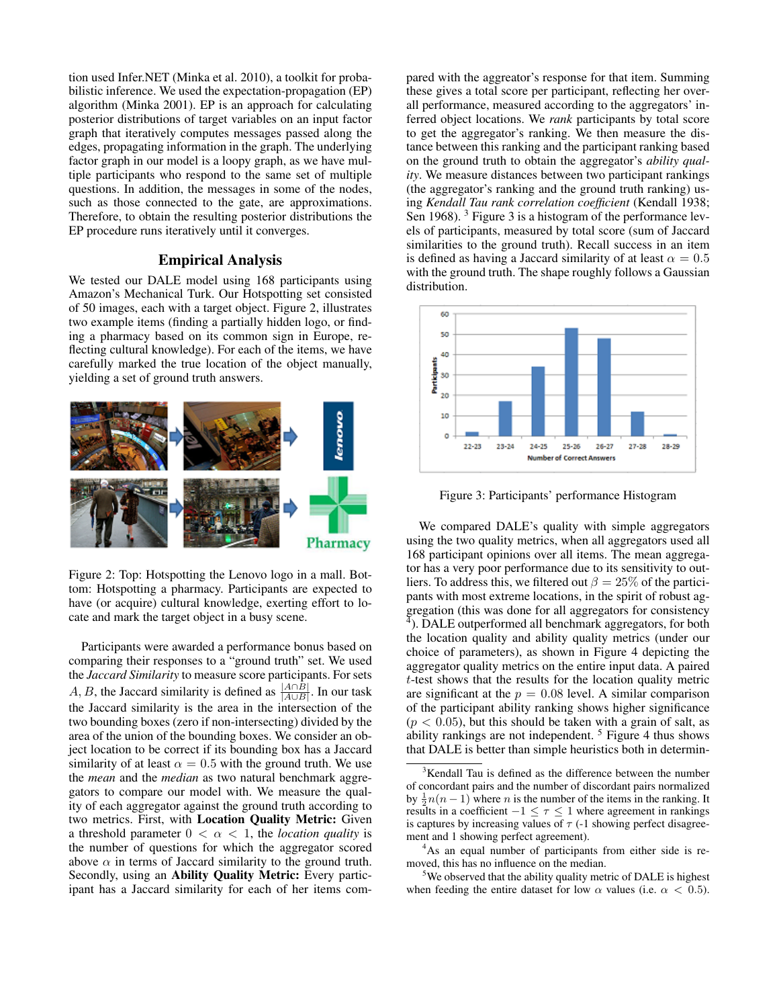tion used Infer.NET (Minka et al. 2010), a toolkit for probabilistic inference. We used the expectation-propagation (EP) algorithm (Minka 2001). EP is an approach for calculating posterior distributions of target variables on an input factor graph that iteratively computes messages passed along the edges, propagating information in the graph. The underlying factor graph in our model is a loopy graph, as we have multiple participants who respond to the same set of multiple questions. In addition, the messages in some of the nodes, such as those connected to the gate, are approximations. Therefore, to obtain the resulting posterior distributions the EP procedure runs iteratively until it converges.

### Empirical Analysis

We tested our DALE model using 168 participants using Amazon's Mechanical Turk. Our Hotspotting set consisted of 50 images, each with a target object. Figure 2, illustrates two example items (finding a partially hidden logo, or finding a pharmacy based on its common sign in Europe, reflecting cultural knowledge). For each of the items, we have carefully marked the true location of the object manually, yielding a set of ground truth answers.



Figure 2: Top: Hotspotting the Lenovo logo in a mall. Bottom: Hotspotting a pharmacy. Participants are expected to have (or acquire) cultural knowledge, exerting effort to locate and mark the target object in a busy scene.

Participants were awarded a performance bonus based on comparing their responses to a "ground truth" set. We used the *Jaccard Similarity* to measure score participants. For sets A, B, the Jaccard similarity is defined as  $\frac{|A \cap B|}{|A \cup B|}$ . In our task the Jaccard similarity is the area in the intersection of the two bounding boxes (zero if non-intersecting) divided by the area of the union of the bounding boxes. We consider an object location to be correct if its bounding box has a Jaccard similarity of at least  $\alpha = 0.5$  with the ground truth. We use the *mean* and the *median* as two natural benchmark aggregators to compare our model with. We measure the quality of each aggregator against the ground truth according to two metrics. First, with Location Quality Metric: Given a threshold parameter  $0 < \alpha < 1$ , the *location quality* is the number of questions for which the aggregator scored above  $\alpha$  in terms of Jaccard similarity to the ground truth. Secondly, using an Ability Quality Metric: Every participant has a Jaccard similarity for each of her items compared with the aggreator's response for that item. Summing these gives a total score per participant, reflecting her overall performance, measured according to the aggregators' inferred object locations. We *rank* participants by total score to get the aggregator's ranking. We then measure the distance between this ranking and the participant ranking based on the ground truth to obtain the aggregator's *ability quality*. We measure distances between two participant rankings (the aggregator's ranking and the ground truth ranking) using *Kendall Tau rank correlation coefficient* (Kendall 1938; Sen 1968). <sup>3</sup> Figure 3 is a histogram of the performance levels of participants, measured by total score (sum of Jaccard similarities to the ground truth). Recall success in an item is defined as having a Jaccard similarity of at least  $\alpha = 0.5$ with the ground truth. The shape roughly follows a Gaussian distribution.



Figure 3: Participants' performance Histogram

We compared DALE's quality with simple aggregators using the two quality metrics, when all aggregators used all 168 participant opinions over all items. The mean aggregator has a very poor performance due to its sensitivity to outliers. To address this, we filtered out  $\beta = 25\%$  of the participants with most extreme locations, in the spirit of robust aggregation (this was done for all aggregators for consistency  $\overline{4}$ ). DALE outperformed all benchmark aggregators, for both the location quality and ability quality metrics (under our choice of parameters), as shown in Figure 4 depicting the aggregator quality metrics on the entire input data. A paired t-test shows that the results for the location quality metric are significant at the  $p = 0.08$  level. A similar comparison of the participant ability ranking shows higher significance  $(p < 0.05)$ , but this should be taken with a grain of salt, as ability rankings are not independent. <sup>5</sup> Figure 4 thus shows that DALE is better than simple heuristics both in determin-

<sup>4</sup>As an equal number of participants from either side is removed, this has no influence on the median.

 $5$ We observed that the ability quality metric of DALE is highest when feeding the entire dataset for low  $\alpha$  values (i.e.  $\alpha$  < 0.5).

<sup>&</sup>lt;sup>3</sup>Kendall Tau is defined as the difference between the number of concordant pairs and the number of discordant pairs normalized by  $\frac{1}{2}n(n-1)$  where *n* is the number of the items in the ranking. It results in a coefficient  $-1 \leq \tau \leq 1$  where agreement in rankings is captures by increasing values of  $\tau$  (-1 showing perfect disagreement and 1 showing perfect agreement).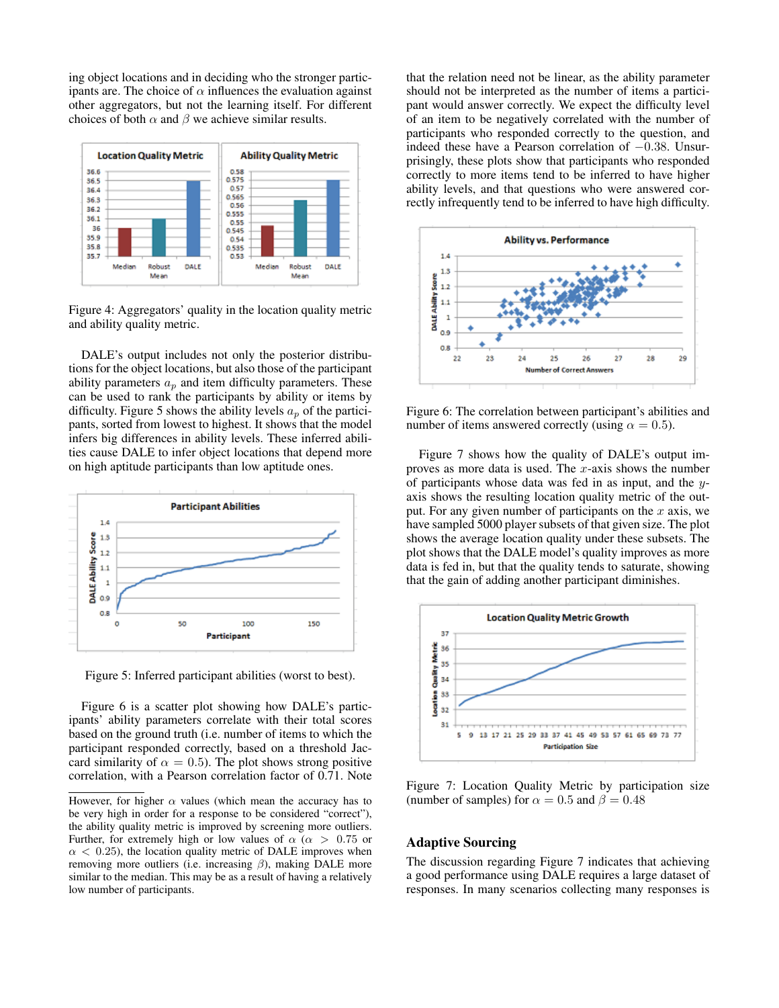ing object locations and in deciding who the stronger participants are. The choice of  $\alpha$  influences the evaluation against other aggregators, but not the learning itself. For different choices of both  $\alpha$  and  $\beta$  we achieve similar results.



Figure 4: Aggregators' quality in the location quality metric and ability quality metric.

DALE's output includes not only the posterior distributions for the object locations, but also those of the participant ability parameters  $a_p$  and item difficulty parameters. These can be used to rank the participants by ability or items by difficulty. Figure 5 shows the ability levels  $a_p$  of the participants, sorted from lowest to highest. It shows that the model infers big differences in ability levels. These inferred abilities cause DALE to infer object locations that depend more on high aptitude participants than low aptitude ones.



Figure 5: Inferred participant abilities (worst to best).

Figure 6 is a scatter plot showing how DALE's participants' ability parameters correlate with their total scores based on the ground truth (i.e. number of items to which the participant responded correctly, based on a threshold Jaccard similarity of  $\alpha = 0.5$ ). The plot shows strong positive correlation, with a Pearson correlation factor of 0.71. Note

that the relation need not be linear, as the ability parameter should not be interpreted as the number of items a participant would answer correctly. We expect the difficulty level of an item to be negatively correlated with the number of participants who responded correctly to the question, and indeed these have a Pearson correlation of −0.38. Unsurprisingly, these plots show that participants who responded correctly to more items tend to be inferred to have higher ability levels, and that questions who were answered correctly infrequently tend to be inferred to have high difficulty.



Figure 6: The correlation between participant's abilities and number of items answered correctly (using  $\alpha = 0.5$ ).

Figure 7 shows how the quality of DALE's output improves as more data is used. The  $x$ -axis shows the number of participants whose data was fed in as input, and the yaxis shows the resulting location quality metric of the output. For any given number of participants on the  $x$  axis, we have sampled 5000 player subsets of that given size. The plot shows the average location quality under these subsets. The plot shows that the DALE model's quality improves as more data is fed in, but that the quality tends to saturate, showing that the gain of adding another participant diminishes.



Figure 7: Location Quality Metric by participation size (number of samples) for  $\alpha = 0.5$  and  $\beta = 0.48$ 

#### Adaptive Sourcing

The discussion regarding Figure 7 indicates that achieving a good performance using DALE requires a large dataset of responses. In many scenarios collecting many responses is

However, for higher  $\alpha$  values (which mean the accuracy has to be very high in order for a response to be considered "correct"), the ability quality metric is improved by screening more outliers. Further, for extremely high or low values of  $\alpha$  ( $\alpha$  > 0.75 or  $\alpha$  < 0.25), the location quality metric of DALE improves when removing more outliers (i.e. increasing  $\beta$ ), making DALE more similar to the median. This may be as a result of having a relatively low number of participants.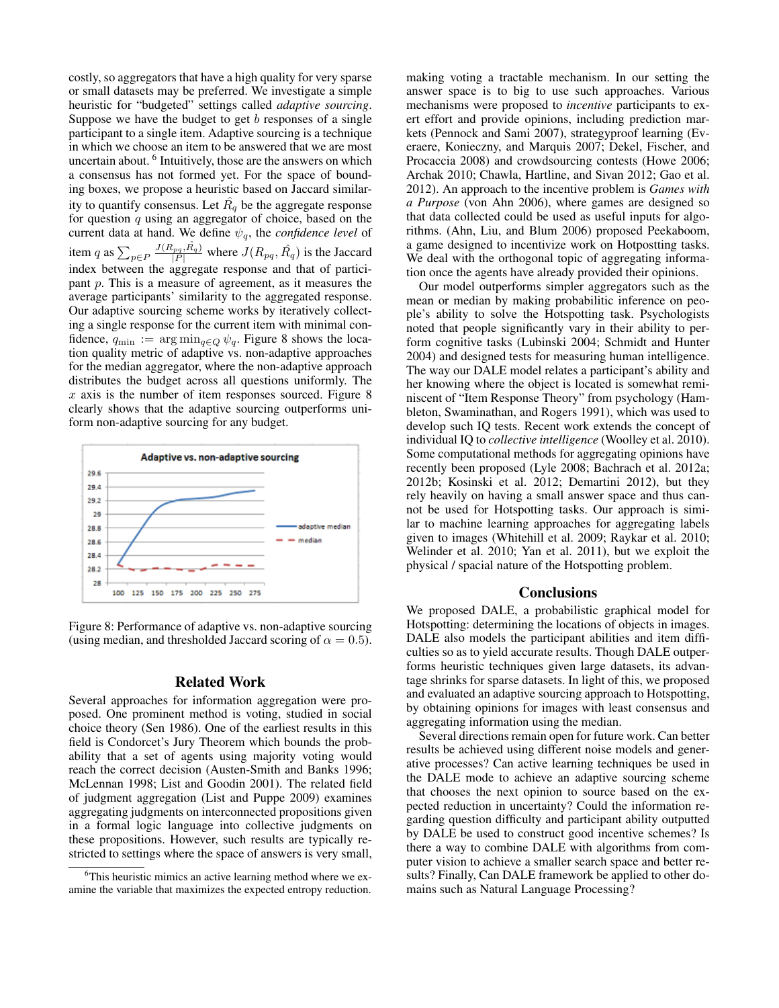costly, so aggregators that have a high quality for very sparse or small datasets may be preferred. We investigate a simple heuristic for "budgeted" settings called *adaptive sourcing*. Suppose we have the budget to get  $b$  responses of a single participant to a single item. Adaptive sourcing is a technique in which we choose an item to be answered that we are most uncertain about. <sup>6</sup> Intuitively, those are the answers on which a consensus has not formed yet. For the space of bounding boxes, we propose a heuristic based on Jaccard similarity to quantify consensus. Let  $\hat{R_q}$  be the aggregate response for question  $q$  using an aggregator of choice, based on the current data at hand. We define  $\psi_a$ , the *confidence level* of item q as  $\sum_{p \in P} \frac{J(R_{pq}, \hat{R}_q)}{|P|}$  where  $J(R_{pq}, \hat{R}_q)$  is the Jaccard index between the aggregate response and that of participant p. This is a measure of agreement, as it measures the average participants' similarity to the aggregated response. Our adaptive sourcing scheme works by iteratively collecting a single response for the current item with minimal confidence,  $q_{\min} := \arg \min_{q \in Q} \psi_q$ . Figure 8 shows the location quality metric of adaptive vs. non-adaptive approaches for the median aggregator, where the non-adaptive approach distributes the budget across all questions uniformly. The  $x$  axis is the number of item responses sourced. Figure 8 clearly shows that the adaptive sourcing outperforms uniform non-adaptive sourcing for any budget.



Figure 8: Performance of adaptive vs. non-adaptive sourcing (using median, and thresholded Jaccard scoring of  $\alpha = 0.5$ ).

#### Related Work

Several approaches for information aggregation were proposed. One prominent method is voting, studied in social choice theory (Sen 1986). One of the earliest results in this field is Condorcet's Jury Theorem which bounds the probability that a set of agents using majority voting would reach the correct decision (Austen-Smith and Banks 1996; McLennan 1998; List and Goodin 2001). The related field of judgment aggregation (List and Puppe 2009) examines aggregating judgments on interconnected propositions given in a formal logic language into collective judgments on these propositions. However, such results are typically restricted to settings where the space of answers is very small,

making voting a tractable mechanism. In our setting the answer space is to big to use such approaches. Various mechanisms were proposed to *incentive* participants to exert effort and provide opinions, including prediction markets (Pennock and Sami 2007), strategyproof learning (Everaere, Konieczny, and Marquis 2007; Dekel, Fischer, and Procaccia 2008) and crowdsourcing contests (Howe 2006; Archak 2010; Chawla, Hartline, and Sivan 2012; Gao et al. 2012). An approach to the incentive problem is *Games with a Purpose* (von Ahn 2006), where games are designed so that data collected could be used as useful inputs for algorithms. (Ahn, Liu, and Blum 2006) proposed Peekaboom, a game designed to incentivize work on Hotpostting tasks. We deal with the orthogonal topic of aggregating information once the agents have already provided their opinions.

Our model outperforms simpler aggregators such as the mean or median by making probabilitic inference on people's ability to solve the Hotspotting task. Psychologists noted that people significantly vary in their ability to perform cognitive tasks (Lubinski 2004; Schmidt and Hunter 2004) and designed tests for measuring human intelligence. The way our DALE model relates a participant's ability and her knowing where the object is located is somewhat reminiscent of "Item Response Theory" from psychology (Hambleton, Swaminathan, and Rogers 1991), which was used to develop such IQ tests. Recent work extends the concept of individual IQ to *collective intelligence* (Woolley et al. 2010). Some computational methods for aggregating opinions have recently been proposed (Lyle 2008; Bachrach et al. 2012a; 2012b; Kosinski et al. 2012; Demartini 2012), but they rely heavily on having a small answer space and thus cannot be used for Hotspotting tasks. Our approach is similar to machine learning approaches for aggregating labels given to images (Whitehill et al. 2009; Raykar et al. 2010; Welinder et al. 2010; Yan et al. 2011), but we exploit the physical / spacial nature of the Hotspotting problem.

#### **Conclusions**

We proposed DALE, a probabilistic graphical model for Hotspotting: determining the locations of objects in images. DALE also models the participant abilities and item difficulties so as to yield accurate results. Though DALE outperforms heuristic techniques given large datasets, its advantage shrinks for sparse datasets. In light of this, we proposed and evaluated an adaptive sourcing approach to Hotspotting, by obtaining opinions for images with least consensus and aggregating information using the median.

Several directions remain open for future work. Can better results be achieved using different noise models and generative processes? Can active learning techniques be used in the DALE mode to achieve an adaptive sourcing scheme that chooses the next opinion to source based on the expected reduction in uncertainty? Could the information regarding question difficulty and participant ability outputted by DALE be used to construct good incentive schemes? Is there a way to combine DALE with algorithms from computer vision to achieve a smaller search space and better results? Finally, Can DALE framework be applied to other domains such as Natural Language Processing?

<sup>&</sup>lt;sup>6</sup>This heuristic mimics an active learning method where we examine the variable that maximizes the expected entropy reduction.